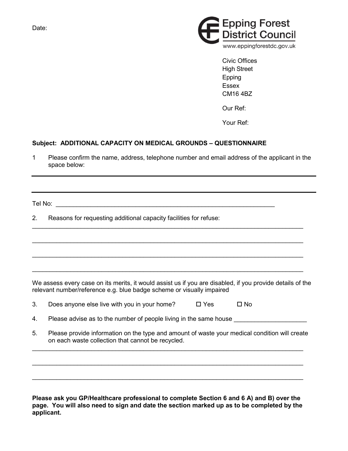Date:



Civic Offices High Street Epping **Essex** CM16 4BZ

Our Ref:

Your Ref:

## **Subject: ADDITIONAL CAPACITY ON MEDICAL GROUNDS – QUESTIONNAIRE**

1 Please confirm the name, address, telephone number and email address of the applicant in the space below:

Tel No: \_\_\_\_\_\_\_\_\_\_\_\_\_\_\_\_\_\_\_\_\_\_\_\_\_\_\_\_\_\_\_\_\_\_\_\_\_\_\_\_\_\_\_\_\_\_\_\_\_\_\_\_\_\_\_\_\_\_\_\_\_\_\_

2. Reasons for requesting additional capacity facilities for refuse:

We assess every case on its merits, it would assist us if you are disabled, if you provide details of the relevant number/reference e.g. blue badge scheme or visually impaired

 $\_$  ,  $\_$  ,  $\_$  ,  $\_$  ,  $\_$  ,  $\_$  ,  $\_$  ,  $\_$  ,  $\_$  ,  $\_$  ,  $\_$  ,  $\_$  ,  $\_$  ,  $\_$  ,  $\_$  ,  $\_$  ,  $\_$  ,  $\_$  ,  $\_$  ,  $\_$  ,  $\_$  ,  $\_$  ,  $\_$  ,  $\_$  ,  $\_$  ,  $\_$  ,  $\_$  ,  $\_$  ,  $\_$  ,  $\_$  ,  $\_$  ,  $\_$  ,  $\_$  ,  $\_$  ,  $\_$  ,  $\_$  ,  $\_$  ,

 $\_$  , and the set of the set of the set of the set of the set of the set of the set of the set of the set of the set of the set of the set of the set of the set of the set of the set of the set of the set of the set of th

 $\_$  ,  $\_$  ,  $\_$  ,  $\_$  ,  $\_$  ,  $\_$  ,  $\_$  ,  $\_$  ,  $\_$  ,  $\_$  ,  $\_$  ,  $\_$  ,  $\_$  ,  $\_$  ,  $\_$  ,  $\_$  ,  $\_$  ,  $\_$  ,  $\_$  ,  $\_$  ,  $\_$  ,  $\_$  ,  $\_$  ,  $\_$  ,  $\_$  ,  $\_$  ,  $\_$  ,  $\_$  ,  $\_$  ,  $\_$  ,  $\_$  ,  $\_$  ,  $\_$  ,  $\_$  ,  $\_$  ,  $\_$  ,  $\_$  ,

 $\_$  , and the set of the set of the set of the set of the set of the set of the set of the set of the set of the set of the set of the set of the set of the set of the set of the set of the set of the set of the set of th

3. Does anyone else live with you in your home?  $\Box$  Yes  $\Box$  No

4. Please advise as to the number of people living in the same house

5. Please provide information on the type and amount of waste your medical condition will create on each waste collection that cannot be recycled.

 $\_$  , and the set of the set of the set of the set of the set of the set of the set of the set of the set of the set of the set of the set of the set of the set of the set of the set of the set of the set of the set of th

 $\_$  ,  $\_$  ,  $\_$  ,  $\_$  ,  $\_$  ,  $\_$  ,  $\_$  ,  $\_$  ,  $\_$  ,  $\_$  ,  $\_$  ,  $\_$  ,  $\_$  ,  $\_$  ,  $\_$  ,  $\_$  ,  $\_$  ,  $\_$  ,  $\_$  ,  $\_$  ,  $\_$  ,  $\_$  ,  $\_$  ,  $\_$  ,  $\_$  ,  $\_$  ,  $\_$  ,  $\_$  ,  $\_$  ,  $\_$  ,  $\_$  ,  $\_$  ,  $\_$  ,  $\_$  ,  $\_$  ,  $\_$  ,  $\_$  ,

 $\_$  , and the set of the set of the set of the set of the set of the set of the set of the set of the set of the set of the set of the set of the set of the set of the set of the set of the set of the set of the set of th

**Please ask you GP/Healthcare professional to complete Section 6 and 6 A) and B) over the page. You will also need to sign and date the section marked up as to be completed by the applicant.**